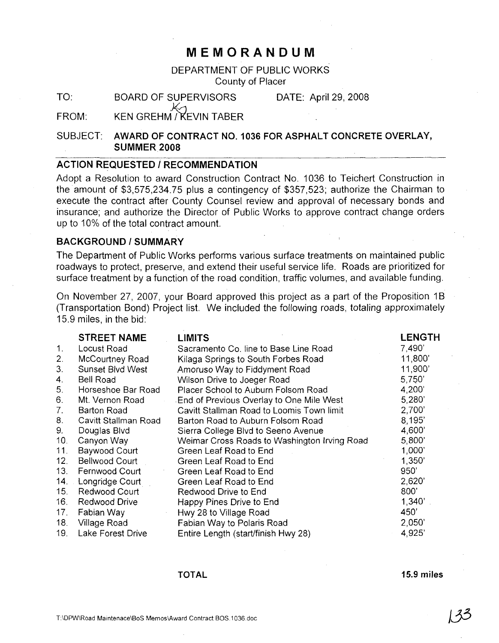## **MEMORANDUM**

## DEPARTMENT OF PUBLIC WORKS County of Placer

TO: BOARD OF SUPERVISORS DATE: April 29, 2008

FROM:  $K_{\gamma}$ KEN GREHM / KEVIN TABER

SUBJECT: AWARD OF CONTRACT NO. 1036 FOR ASPHALT CONCRETE OVERLAY, SUMMER 2008

## ACTION REQUESTED / RECOMMENDATION

Adopt a Resolution to award Construction Contract NO.1 036 to Teichert Construction in the amount of \$3,575,234.75 plus a contingency of \$357,523; authorize the Chairman to execute the contract after County Counsel review and approval of necessary bonds and insurance; and authorize the Director of Public Works to approve contract change orders up to 10% of the total contract amount.

#### BACKGROUND / SUMMARY

The Department of Public Works performs various surface treatments on maintained public roadways to protect, preserve, and extend their useful service life. Roads are prioritized for surface treatment by a function of the road condition, traffic volumes, and available funding.

On November 27, 2007, your Board approved this project as a part of the Proposition 1B (Transportation Bond) Project list. We included the following roads, totaling approximately 15.9 miles, in the bid:

|                 | <b>STREET NAME</b>    | <b>LIMITS</b>                                | <b>LENGTH</b> |
|-----------------|-----------------------|----------------------------------------------|---------------|
| 1.              | Locust Road           | Sacramento Co. line to Base Line Road        | 7,490         |
| 2.              | McCourtney Road       | Kilaga Springs to South Forbes Road          | 11,800'       |
| 3 <sub>1</sub>  | Sunset Blvd West      | Amoruso Way to Fiddyment Road                | 11,900'       |
| 4.              | Bell Road             | Wilson Drive to Joeger Road                  | 5,750'        |
| 5.              | Horseshoe Bar Road    | Placer School to Auburn Folsom Road          | 4,200         |
| 6.              | Mt. Vernon Road       | End of Previous Overlay to One Mile West     | 5,280'        |
| 7.              | Barton Road           | Cavitt Stallman Road to Loomis Town limit    | 2,700'        |
| 8.              | Cavitt Stallman Road  | Barton Road to Auburn Folsom Road            | 8,195'        |
| 9.              | Douglas Blvd          | Sierra College Blvd to Seeno Avenue          | 4,600         |
| 10 <sub>1</sub> | Canyon Way            | Weimar Cross Roads to Washington Irving Road | 5,800'        |
| 11.             | Baywood Court         | Green Leaf Road to End                       | 1,000         |
| 12.             | <b>Bellwood Court</b> | Green Leaf Road to End                       | 1,350'        |
| 13.             | Fernwood Court        | Green Leaf Road to End                       | 950'          |
| 14.             | Longridge Court       | Green Leaf Road to End                       | 2,620'        |
| 15.             | Redwood Court         | Redwood Drive to End                         | 800'          |
| 16.             | Redwood Drive         | Happy Pines Drive to End                     | 1,340'        |
| 17.             | Fabian Way            | Hwy 28 to Village Road                       | 450'          |
| 18.             | Village Road          | Fabian Way to Polaris Road                   | 2,050'        |
| 19.             | Lake Forest Drive     | Entire Length (start/finish Hwy 28)          | 4,925'        |

#### TOTAL

15.9 miles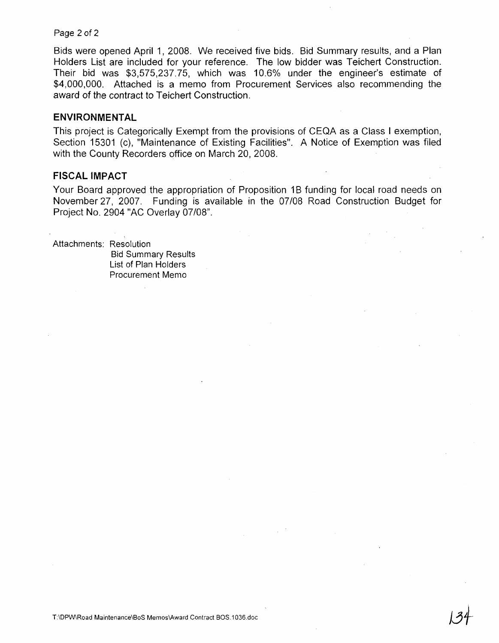Page 2 of 2

Bids were opened April 1, 2008. We received five bids. Bid Summary results, and a Plan Holders List are included for your reference. The low bidder was Teichert Construction. Their bid was \$3,575,237.75, which was 10.6% under the engineer's estimate of \$4,000,000. Attached is a memo from Procurement Services also recommending the award of the contract to Teichert Construction.

### **ENVIRONMENTAL**

This project is Categorically Exempt from the provisions of CEQA as a Class I exemption, Section 15301 (c), "Maintenance of Existing Facilities". A Notice of Exemption was filed with the County Recorders office on March 20, 2008.

#### **FISCAL IMPACT**

Your Board approved the appropriation of Proposition 1B funding for local road needs on November 27, 2007. Funding is available in the 07/08 Road Construction Budget for Project No. 2904 "AC Overlay 07/08".

Attachments: Resolution Bid Summary Results List of Plan Holders Procurement Memo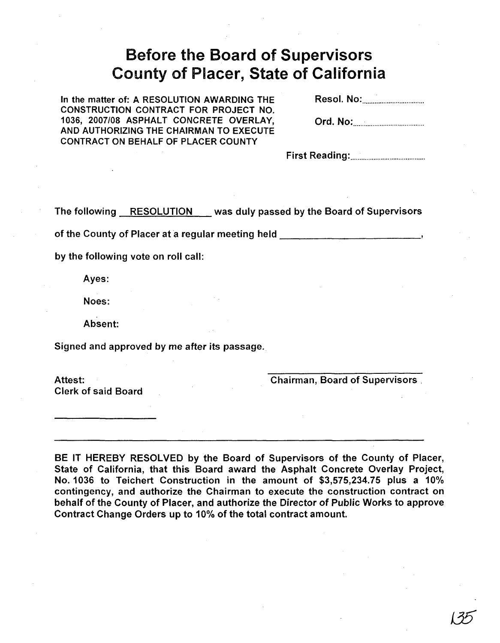# Before the Board of Supervisors County of Placer, State of California

In the matter of: A RESOLUTION AWARDING THE CONSTRUCTION CONTRACT FOR PROJECT NO. 1036, 2007/08 ASPHALT CONCRETE OVERLAY, AND AUTHORIZING THE CHAIRMAN TO EXECUTE CONTRACT ON BEHALF OF PLACER COUNTY

Resol. No: .

Ord. No: .

First Reading: .

The following RESOLUTION was duly passed by the Board of Supervisors

of the County of Placer at a regular meeting held **with the County of Placer at a regular meeting** held

by the following vote on roll call:

Ayes:

Noes:

Absent:

Signed and approved by me after its passage.

Attest: Clerk of said Board Chairman, Board of Supervisors.

BE IT HEREBY RESOLVED by the Board of Supervisors of the County of Placer, State of California, that this Board award the Asphalt Concrete Overlay Project, No. 1036 to Teichert Construction in the amount of \$3,575,234.75 plus a 10% contingency, and authorize the Chairman to execute the construction contract on behalf of the County of Placer, and authorize the Director of Public Works to approve Contract Change Orders up to 10% of the total contract amount.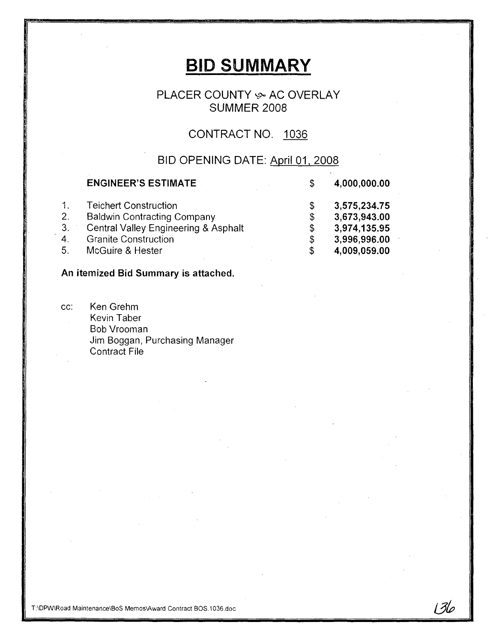# **BID SUMMARY**

## PLACER COUNTY & AC OVERLAY SUMMER 2008

# CONTRACT NO. 1036

## BID OPENING DATE: April 01. 2008

136

|              | <b>ENGINEER'S ESTIMATE</b>                      | S  | 4,000,000.00 |
|--------------|-------------------------------------------------|----|--------------|
| $\mathbf{1}$ | <b>Teichert Construction</b>                    | S  | 3,575,234.75 |
| 2.           | <b>Baldwin Contracting Company</b>              | \$ | 3,673,943.00 |
| 3.           | <b>Central Valley Engineering &amp; Asphalt</b> | \$ | 3,974,135.95 |
| $4_{\cdot}$  | <b>Granite Construction</b>                     | \$ | 3,996,996.00 |
| 5.           | McGuire & Hester                                | S  | 4,009,059.00 |

## An itemized Bid Summary is attached.

cc: Ken Grehm Kevin Taber Bob Vrooman Jim Boggan. Purchasing Manager Contract File

T:\DPW\Road Maintenance\BoS MemoslAward Contract BOS.1 036.doc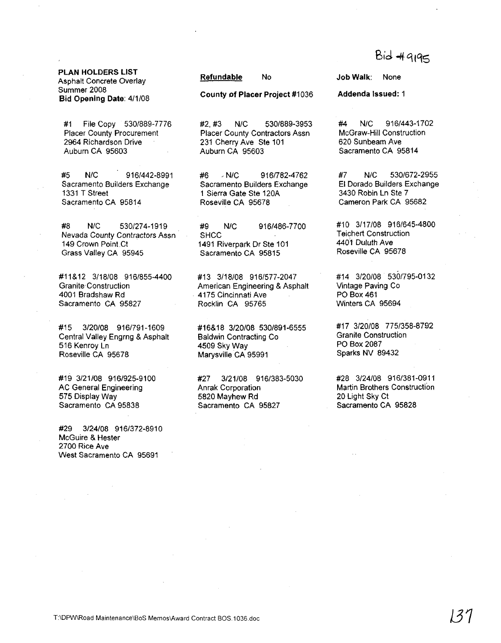# **Bid # 9195**

PLAN HOLDERS LIST Asphalt Concrete Overlay Summer 2008 Bid Opening Date: 4/1/08

#1 File Copy 530/889-7776 Placer County Procurement 2964 Richardson Drive Auburn CA 95603

#5 N/C 916f442-8991 Sacramento Builders Exchange 1331 T Street Sacramento CA 95814

#8 N/C 530/274-1919 Nevada County Contractors Assn 149 Crown Point Ct Grass Valley CA 95945

#11&12 3/18/08 9161855-4400 Granite Construction 4001 Bradshaw Rd Sacramento CA 95827

#15 3/20f08 916/791-1609 Central Valley Engrng & Asphalt 516 Kemoy Ln Roseville CA 95678

#19 3/21/08 916/925-9100 AC General Engineering 575 Display Way Sacramento CA 95838

#29 3f24/08 916/372-8910 McGuire & Hester 2700 Rice Ave West Sacramento CA 95691

Refundable No

County of Placer Project #1036

#2, #3 N/C 530/889-3953 Placer County Contractors Assn 231 Cherry Ave Ste 101 Auburn CA 95603

#6 ' N/C 916/782-4762 Sacramento Builders Exchange 1 Sierra Gate Ste 120A Roseville CA 95678

#9 N/C 916/486-7700 **SHCC** 1491 Riverpark Dr Ste 101 Sacramento CA 95815

#13 3/18/08 916/577-2047 American Engineering & Asphalt . 4175 Cincinnati Ave Rocklin CA 95765

#16&18 3/20/08 5301891·6555 Baldwin Contracting Co 4509 Sky Wav Marysville CA 95991

#27 3/21/08 9161383-5030 Anrak Corporation 5820 Mayhew Rd Sacramento CA 95827

Job Walk: None

Addenda Issued: 1

#4 N/C 916/443-1702 McGraw-Hili Construction 620 Sunbeam Ave Sacramento CA 95814

#7 N/C 530/672-2955 EI Dorado Builders Exchange 3430 Robin Ln Ste 7 Cameron Park CA 95682

#10 3/17/08 916/645-4800 Teichert Construction 440'1 Duluth Ave Roseville CA 95678

#14 3f20108 530/795-0132 Vintage Paving Co PO Box 461 Winters CA 95694

#17 3/20/08 775/358-8792 Granite Construction PO Box 2087 Sparks NV 89432

#28 3/24/08 9161381-0911 Martin Brothers Construction 20 Light Sky Ct Sacramento CA 95828